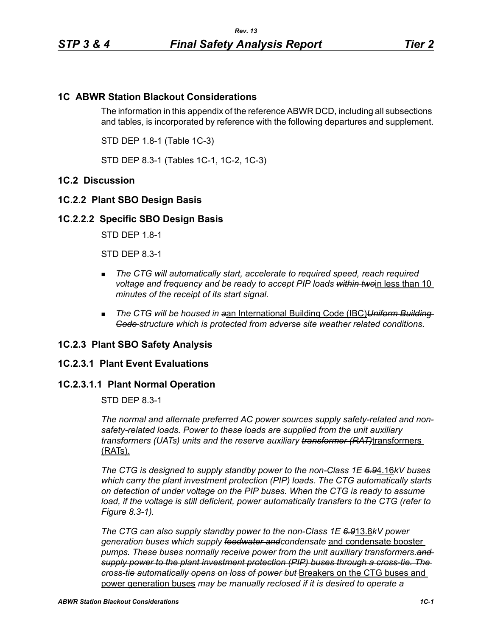# **1C ABWR Station Blackout Considerations**

The information in this appendix of the reference ABWR DCD, including all subsections and tables, is incorporated by reference with the following departures and supplement.

STD DEP 1.8-1 (Table 1C-3)

STD DEP 8.3-1 (Tables 1C-1, 1C-2, 1C-3)

## **1C.2 Discussion**

# **1C.2.2 Plant SBO Design Basis**

## **1C.2.2.2 Specific SBO Design Basis**

STD DEP 1.8-1

STD DEP 8.3-1

- *The CTG will automatically start, accelerate to required speed, reach required voltage and frequency and be ready to accept PIP loads within two*in less than 10 *minutes of the receipt of its start signal.*
- *The CTG will be housed in a*an International Building Code (IBC)*Uniform Building Code structure which is protected from adverse site weather related conditions.*

## **1C.2.3 Plant SBO Safety Analysis**

## **1C.2.3.1 Plant Event Evaluations**

# **1C.2.3.1.1 Plant Normal Operation**

STD DEP 8.3-1

*The normal and alternate preferred AC power sources supply safety-related and nonsafety-related loads. Power to these loads are supplied from the unit auxiliary transformers (UATs) units and the reserve auxiliary transformer (RAT)*transformers (RATs).

*The CTG is designed to supply standby power to the non-Class 1E 6.9*4.16*kV buses which carry the plant investment protection (PIP) loads. The CTG automatically starts on detection of under voltage on the PIP buses. When the CTG is ready to assume*  load, if the voltage is still deficient, power automatically transfers to the CTG (refer to *Figure 8.3-1).*

*The CTG can also supply standby power to the non-Class 1E 6.9*13.8*kV power generation buses which supply feedwater andcondensate* and condensate booster *pumps. These buses normally receive power from the unit auxiliary transformers.and supply power to the plant investment protection (PIP) buses through a cross-tie. The cross-tie automatically opens on loss of power but* Breakers on the CTG buses and power generation buses *may be manually reclosed if it is desired to operate a*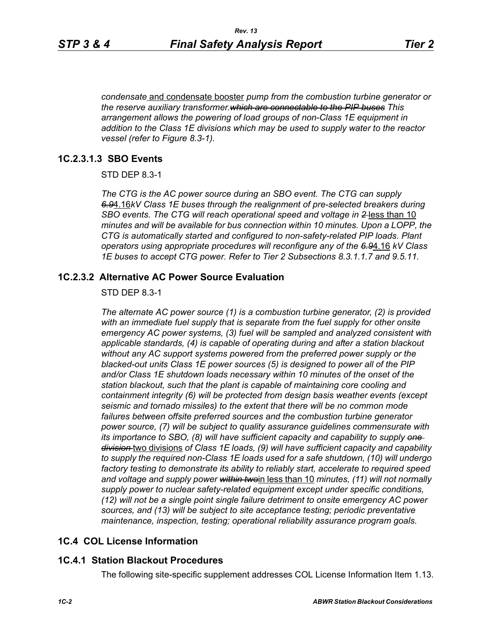*condensate* and condensate booster *pump from the combustion turbine generator or the reserve auxiliary transformer.which are connectable to the PIP buses This arrangement allows the powering of load groups of non-Class 1E equipment in addition to the Class 1E divisions which may be used to supply water to the reactor vessel (refer to Figure 8.3-1).*

## **1C.2.3.1.3 SBO Events**

STD DEP 8.3-1

*The CTG is the AC power source during an SBO event. The CTG can supply 6.9*4.16*kV Class 1E buses through the realignment of pre-selected breakers during SBO events. The CTG will reach operational speed and voltage in 2* less than 10 *minutes and will be available for bus connection within 10 minutes. Upon a LOPP, the CTG is automatically started and configured to non-safety-related PIP loads. Plant operators using appropriate procedures will reconfigure any of the 6.9*4.16 *kV Class 1E buses to accept CTG power. Refer to Tier 2 Subsections 8.3.1.1.7 and 9.5.11.*

## **1C.2.3.2 Alternative AC Power Source Evaluation**

#### STD DEP 8.3-1

*The alternate AC power source (1) is a combustion turbine generator, (2) is provided with an immediate fuel supply that is separate from the fuel supply for other onsite emergency AC power systems, (3) fuel will be sampled and analyzed consistent with applicable standards, (4) is capable of operating during and after a station blackout without any AC support systems powered from the preferred power supply or the blacked-out units Class 1E power sources (5) is designed to power all of the PIP and/or Class 1E shutdown loads necessary within 10 minutes of the onset of the station blackout, such that the plant is capable of maintaining core cooling and containment integrity (6) will be protected from design basis weather events (except seismic and tornado missiles) to the extent that there will be no common mode*  failures between offsite preferred sources and the combustion turbine generator *power source, (7) will be subject to quality assurance guidelines commensurate with its importance to SBO, (8) will have sufficient capacity and capability to supply one division* two divisions *of Class 1E loads, (9) will have sufficient capacity and capability to supply the required non-Class 1E loads used for a safe shutdown, (10) will undergo factory testing to demonstrate its ability to reliably start, accelerate to required speed and voltage and supply power within two*in less than 10 *minutes, (11) will not normally supply power to nuclear safety-related equipment except under specific conditions, (12) will not be a single point single failure detriment to onsite emergency AC power sources, and (13) will be subject to site acceptance testing; periodic preventative maintenance, inspection, testing; operational reliability assurance program goals.*

## **1C.4 COL License Information**

## **1C.4.1 Station Blackout Procedures**

The following site-specific supplement addresses COL License Information Item 1.13.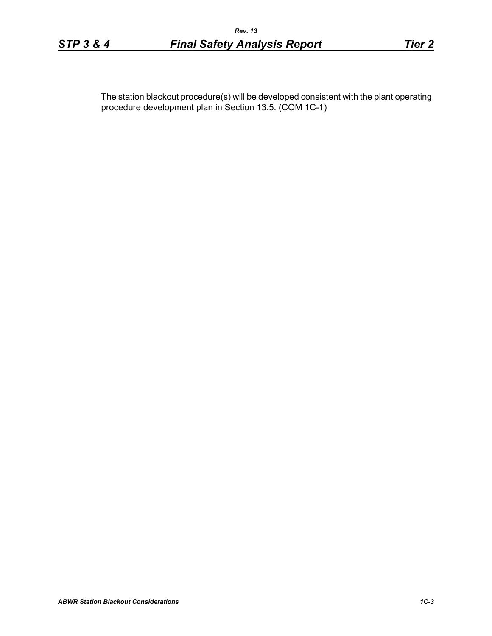The station blackout procedure(s) will be developed consistent with the plant operating procedure development plan in Section 13.5. (COM 1C-1)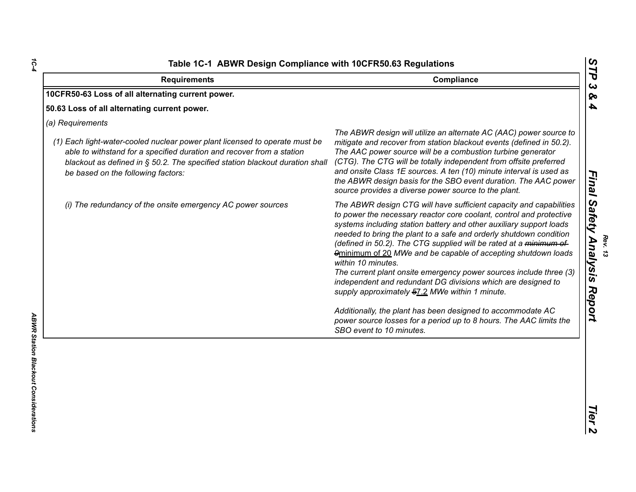| 10CFR50-63 Loss of all alternating current power.                                                                                                                                                                                                                                              |                                                                                                                                                                                                                                                                                                                                                                                                                                                                                                                                                                                                                                                                                                                                                                                                             |
|------------------------------------------------------------------------------------------------------------------------------------------------------------------------------------------------------------------------------------------------------------------------------------------------|-------------------------------------------------------------------------------------------------------------------------------------------------------------------------------------------------------------------------------------------------------------------------------------------------------------------------------------------------------------------------------------------------------------------------------------------------------------------------------------------------------------------------------------------------------------------------------------------------------------------------------------------------------------------------------------------------------------------------------------------------------------------------------------------------------------|
|                                                                                                                                                                                                                                                                                                |                                                                                                                                                                                                                                                                                                                                                                                                                                                                                                                                                                                                                                                                                                                                                                                                             |
| 50.63 Loss of all alternating current power.                                                                                                                                                                                                                                                   |                                                                                                                                                                                                                                                                                                                                                                                                                                                                                                                                                                                                                                                                                                                                                                                                             |
| (a) Requirements<br>(1) Each light-water-cooled nuclear power plant licensed to operate must be<br>able to withstand for a specified duration and recover from a station<br>blackout as defined in § 50.2. The specified station blackout duration shall<br>be based on the following factors: | The ABWR design will utilize an alternate AC (AAC) power source to<br>mitigate and recover from station blackout events (defined in 50.2).<br>The AAC power source will be a combustion turbine generator<br>(CTG). The CTG will be totally independent from offsite preferred<br>and onsite Class 1E sources. A ten (10) minute interval is used as<br>the ABWR design basis for the SBO event duration. The AAC power<br>source provides a diverse power source to the plant.                                                                                                                                                                                                                                                                                                                             |
| (i) The redundancy of the onsite emergency AC power sources                                                                                                                                                                                                                                    | The ABWR design CTG will have sufficient capacity and capabilities<br>to power the necessary reactor core coolant, control and protective<br>systems including station battery and other auxiliary support loads<br>needed to bring the plant to a safe and orderly shutdown condition<br>(defined in 50.2). The CTG supplied will be rated at a minimum of<br>9minimum of 20 MWe and be capable of accepting shutdown loads<br>within 10 minutes.<br>The current plant onsite emergency power sources include three (3)<br>independent and redundant DG divisions which are designed to<br>supply approximately 57.2 MWe within 1 minute.<br>Additionally, the plant has been designed to accommodate AC<br>power source losses for a period up to 8 hours. The AAC limits the<br>SBO event to 10 minutes. |

*1C-4*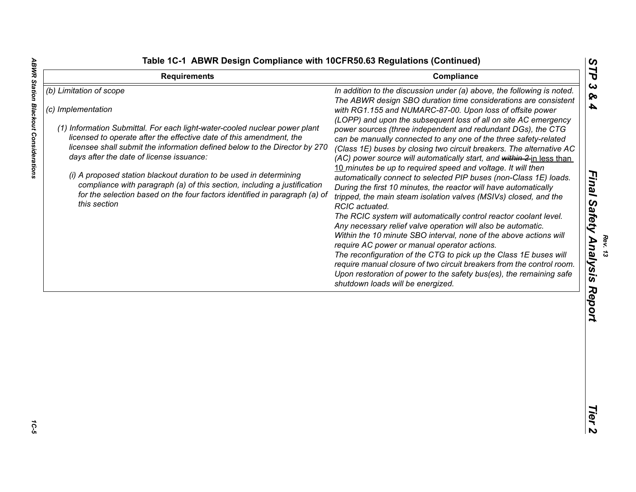| (b) Limitation of scope<br>In addition to the discussion under (a) above, the following is noted.<br>The ABWR design SBO duration time considerations are consistent<br>(c) Implementation<br>with RG1.155 and NUMARC-87-00. Upon loss of offsite power<br>(LOPP) and upon the subsequent loss of all on site AC emergency<br>(1) Information Submittal. For each light-water-cooled nuclear power plant<br>power sources (three independent and redundant DGs), the CTG<br>licensed to operate after the effective date of this amendment, the<br>can be manually connected to any one of the three safety-related<br>licensee shall submit the information defined below to the Director by 270<br>(Class 1E) buses by closing two circuit breakers. The alternative AC<br>days after the date of license issuance:<br>(AC) power source will automatically start, and within 2-in less than<br>10 minutes be up to required speed and voltage. It will then<br>(i) A proposed station blackout duration to be used in determining<br>automatically connect to selected PIP buses (non-Class 1E) loads.<br>compliance with paragraph (a) of this section, including a justification<br>During the first 10 minutes, the reactor will have automatically<br>for the selection based on the four factors identified in paragraph (a) of<br>tripped, the main steam isolation valves (MSIVs) closed, and the<br>this section<br>RCIC actuated.<br>The RCIC system will automatically control reactor coolant level.<br>Any necessary relief valve operation will also be automatic.<br>Within the 10 minute SBO interval, none of the above actions will<br>require AC power or manual operator actions.<br>The reconfiguration of the CTG to pick up the Class 1E buses will<br>require manual closure of two circuit breakers from the control room.<br>Upon restoration of power to the safety bus(es), the remaining safe<br>shutdown loads will be energized. |
|-------------------------------------------------------------------------------------------------------------------------------------------------------------------------------------------------------------------------------------------------------------------------------------------------------------------------------------------------------------------------------------------------------------------------------------------------------------------------------------------------------------------------------------------------------------------------------------------------------------------------------------------------------------------------------------------------------------------------------------------------------------------------------------------------------------------------------------------------------------------------------------------------------------------------------------------------------------------------------------------------------------------------------------------------------------------------------------------------------------------------------------------------------------------------------------------------------------------------------------------------------------------------------------------------------------------------------------------------------------------------------------------------------------------------------------------------------------------------------------------------------------------------------------------------------------------------------------------------------------------------------------------------------------------------------------------------------------------------------------------------------------------------------------------------------------------------------------------------------------------------------------------------------------------------------------------------------------------|
|                                                                                                                                                                                                                                                                                                                                                                                                                                                                                                                                                                                                                                                                                                                                                                                                                                                                                                                                                                                                                                                                                                                                                                                                                                                                                                                                                                                                                                                                                                                                                                                                                                                                                                                                                                                                                                                                                                                                                                   |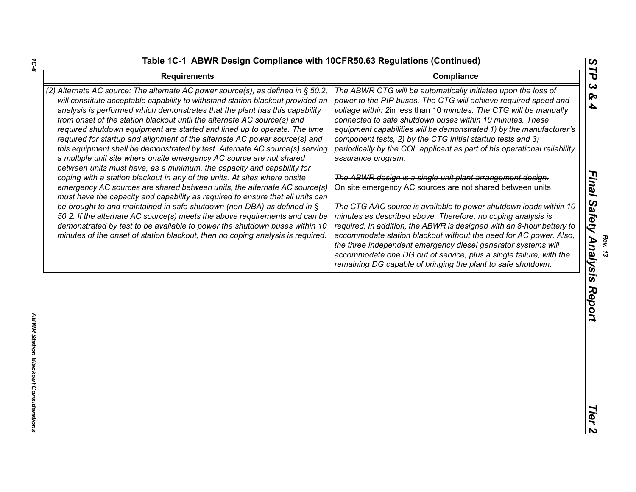| (2) Alternate AC source: The alternate AC power source(s), as defined in $\S$ 50.2,<br>The ABWR CTG will be automatically initiated upon the loss of<br>will constitute acceptable capability to withstand station blackout provided an<br>power to the PIP buses. The CTG will achieve required speed and<br>analysis is performed which demonstrates that the plant has this capability<br>voltage within 2in less than 10 minutes. The CTG will be manually<br>from onset of the station blackout until the alternate AC source(s) and<br>connected to safe shutdown buses within 10 minutes. These<br>required shutdown equipment are started and lined up to operate. The time<br>equipment capabilities will be demonstrated 1) by the manufacturer's<br>component tests, 2) by the CTG initial startup tests and 3)<br>required for startup and alignment of the alternate AC power source(s) and<br>periodically by the COL applicant as part of his operational reliability<br>this equipment shall be demonstrated by test. Alternate AC source(s) serving<br>a multiple unit site where onsite emergency AC source are not shared<br>assurance program.<br>between units must have, as a minimum, the capacity and capability for<br>The ABWR design is a single unit plant arrangement design.<br>coping with a station blackout in any of the units. At sites where onsite<br>emergency AC sources are shared between units, the alternate AC source(s)<br>On site emergency AC sources are not shared between units.<br>must have the capacity and capability as required to ensure that all units can<br>be brought to and maintained in safe shutdown (non-DBA) as defined in $\S$<br>The CTG AAC source is available to power shutdown loads within 10<br>50.2. If the alternate AC source(s) meets the above requirements and can be<br>minutes as described above. Therefore, no coping analysis is<br>demonstrated by test to be available to power the shutdown buses within 10<br>required. In addition, the ABWR is designed with an 8-hour battery to<br>minutes of the onset of station blackout, then no coping analysis is required.<br>accommodate station blackout without the need for AC power. Also,<br>the three independent emergency diesel generator systems will<br>accommodate one DG out of service, plus a single failure, with the<br>remaining DG capable of bringing the plant to safe shutdown. | <b>Requirements</b> | Compliance |
|---------------------------------------------------------------------------------------------------------------------------------------------------------------------------------------------------------------------------------------------------------------------------------------------------------------------------------------------------------------------------------------------------------------------------------------------------------------------------------------------------------------------------------------------------------------------------------------------------------------------------------------------------------------------------------------------------------------------------------------------------------------------------------------------------------------------------------------------------------------------------------------------------------------------------------------------------------------------------------------------------------------------------------------------------------------------------------------------------------------------------------------------------------------------------------------------------------------------------------------------------------------------------------------------------------------------------------------------------------------------------------------------------------------------------------------------------------------------------------------------------------------------------------------------------------------------------------------------------------------------------------------------------------------------------------------------------------------------------------------------------------------------------------------------------------------------------------------------------------------------------------------------------------------------------------------------------------------------------------------------------------------------------------------------------------------------------------------------------------------------------------------------------------------------------------------------------------------------------------------------------------------------------------------------------------------------------------------------------------------------------------------------------------------------------------------------|---------------------|------------|
|                                                                                                                                                                                                                                                                                                                                                                                                                                                                                                                                                                                                                                                                                                                                                                                                                                                                                                                                                                                                                                                                                                                                                                                                                                                                                                                                                                                                                                                                                                                                                                                                                                                                                                                                                                                                                                                                                                                                                                                                                                                                                                                                                                                                                                                                                                                                                                                                                                             |                     |            |
|                                                                                                                                                                                                                                                                                                                                                                                                                                                                                                                                                                                                                                                                                                                                                                                                                                                                                                                                                                                                                                                                                                                                                                                                                                                                                                                                                                                                                                                                                                                                                                                                                                                                                                                                                                                                                                                                                                                                                                                                                                                                                                                                                                                                                                                                                                                                                                                                                                             |                     |            |
|                                                                                                                                                                                                                                                                                                                                                                                                                                                                                                                                                                                                                                                                                                                                                                                                                                                                                                                                                                                                                                                                                                                                                                                                                                                                                                                                                                                                                                                                                                                                                                                                                                                                                                                                                                                                                                                                                                                                                                                                                                                                                                                                                                                                                                                                                                                                                                                                                                             |                     |            |

*1C-6*

*Rev. 13*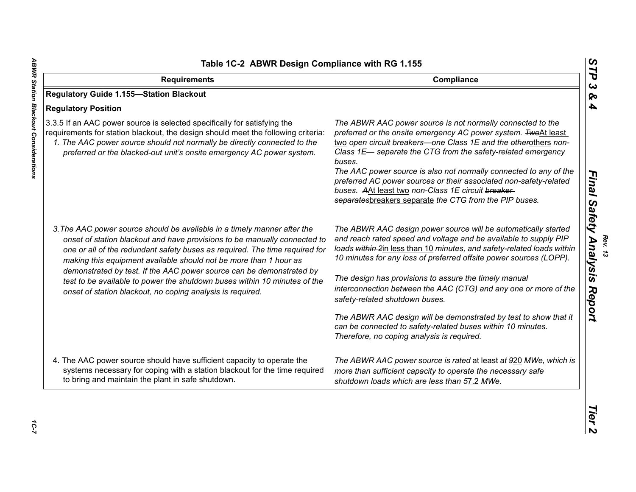| <b>Requirements</b>                                                                                                                                                                                                                                                                                                                                                                                                                                                                                                          | Compliance                                                                                                                                                                                                                                                                                                                                                                                                                                                                                                                          |
|------------------------------------------------------------------------------------------------------------------------------------------------------------------------------------------------------------------------------------------------------------------------------------------------------------------------------------------------------------------------------------------------------------------------------------------------------------------------------------------------------------------------------|-------------------------------------------------------------------------------------------------------------------------------------------------------------------------------------------------------------------------------------------------------------------------------------------------------------------------------------------------------------------------------------------------------------------------------------------------------------------------------------------------------------------------------------|
| <b>Regulatory Guide 1.155-Station Blackout</b>                                                                                                                                                                                                                                                                                                                                                                                                                                                                               |                                                                                                                                                                                                                                                                                                                                                                                                                                                                                                                                     |
| <b>Regulatory Position</b>                                                                                                                                                                                                                                                                                                                                                                                                                                                                                                   |                                                                                                                                                                                                                                                                                                                                                                                                                                                                                                                                     |
| 3.3.5 If an AAC power source is selected specifically for satisfying the<br>requirements for station blackout, the design should meet the following criteria:<br>1. The AAC power source should not normally be directly connected to the<br>preferred or the blacked-out unit's onsite emergency AC power system.                                                                                                                                                                                                           | The ABWR AAC power source is not normally connected to the<br>preferred or the onsite emergency AC power system. TwoAt least<br>two open circuit breakers-one Class 1E and the otherothers non-<br>Class 1E- separate the CTG from the safety-related emergency<br>buses.<br>The AAC power source is also not normally connected to any of the<br>preferred AC power sources or their associated non-safety-related<br>buses. AAt least two non-Class 1E circuit breaker-<br>separatesbreakers separate the CTG from the PIP buses. |
| 3. The AAC power source should be available in a timely manner after the<br>onset of station blackout and have provisions to be manually connected to<br>one or all of the redundant safety buses as required. The time required for<br>making this equipment available should not be more than 1 hour as<br>demonstrated by test. If the AAC power source can be demonstrated by<br>test to be available to power the shutdown buses within 10 minutes of the<br>onset of station blackout, no coping analysis is required. | The ABWR AAC design power source will be automatically started<br>and reach rated speed and voltage and be available to supply PIP<br>loads within 2in less than 10 minutes, and safety-related loads within<br>10 minutes for any loss of preferred offsite power sources (LOPP).<br>The design has provisions to assure the timely manual<br>interconnection between the AAC (CTG) and any one or more of the<br>safety-related shutdown buses.                                                                                   |
|                                                                                                                                                                                                                                                                                                                                                                                                                                                                                                                              | The ABWR AAC design will be demonstrated by test to show that it<br>can be connected to safety-related buses within 10 minutes.<br>Therefore, no coping analysis is required.                                                                                                                                                                                                                                                                                                                                                       |
| 4. The AAC power source should have sufficient capacity to operate the<br>systems necessary for coping with a station blackout for the time required<br>to bring and maintain the plant in safe shutdown.                                                                                                                                                                                                                                                                                                                    | The ABWR AAC power source is rated at least at 920 MWe, which is<br>more than sufficient capacity to operate the necessary safe<br>shutdown loads which are less than 57.2 MWe.                                                                                                                                                                                                                                                                                                                                                     |

*Rev. 13*<br>Final Safety Analysis Report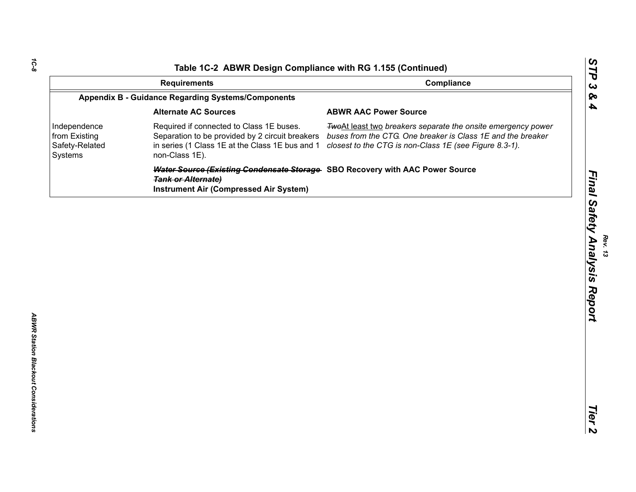|                                                            | <b>Requirements</b>                                                                                                                                              | Compliance                                                                                                                                                                            | STP<br>$\boldsymbol{\omega}$ |
|------------------------------------------------------------|------------------------------------------------------------------------------------------------------------------------------------------------------------------|---------------------------------------------------------------------------------------------------------------------------------------------------------------------------------------|------------------------------|
|                                                            | <b>Appendix B - Guidance Regarding Systems/Components</b>                                                                                                        |                                                                                                                                                                                       | &                            |
|                                                            | <b>Alternate AC Sources</b>                                                                                                                                      | <b>ABWR AAC Power Source</b>                                                                                                                                                          | 4                            |
| Independence<br>from Existing<br>Safety-Related<br>Systems | Required if connected to Class 1E buses.<br>Separation to be provided by 2 circuit breakers<br>in series (1 Class 1E at the Class 1E bus and 1<br>non-Class 1E). | TwoAt least two breakers separate the onsite emergency power<br>buses from the CTG. One breaker is Class 1E and the breaker<br>closest to the CTG is non-Class 1E (see Figure 8.3-1). |                              |
|                                                            | Water Source (Existing Condensate Storage SBO Recovery with AAC Power Source<br><b>Tank or Alternate)</b><br><b>Instrument Air (Compressed Air System)</b>       |                                                                                                                                                                                       | Final Safety Analysis Report |
|                                                            |                                                                                                                                                                  |                                                                                                                                                                                       |                              |
|                                                            |                                                                                                                                                                  |                                                                                                                                                                                       |                              |
|                                                            |                                                                                                                                                                  |                                                                                                                                                                                       |                              |
|                                                            |                                                                                                                                                                  |                                                                                                                                                                                       |                              |
|                                                            |                                                                                                                                                                  |                                                                                                                                                                                       |                              |
|                                                            |                                                                                                                                                                  |                                                                                                                                                                                       |                              |
|                                                            |                                                                                                                                                                  |                                                                                                                                                                                       |                              |
|                                                            |                                                                                                                                                                  |                                                                                                                                                                                       |                              |
|                                                            |                                                                                                                                                                  |                                                                                                                                                                                       |                              |
|                                                            |                                                                                                                                                                  |                                                                                                                                                                                       |                              |
|                                                            |                                                                                                                                                                  |                                                                                                                                                                                       |                              |
|                                                            |                                                                                                                                                                  |                                                                                                                                                                                       |                              |
|                                                            |                                                                                                                                                                  |                                                                                                                                                                                       | Tier                         |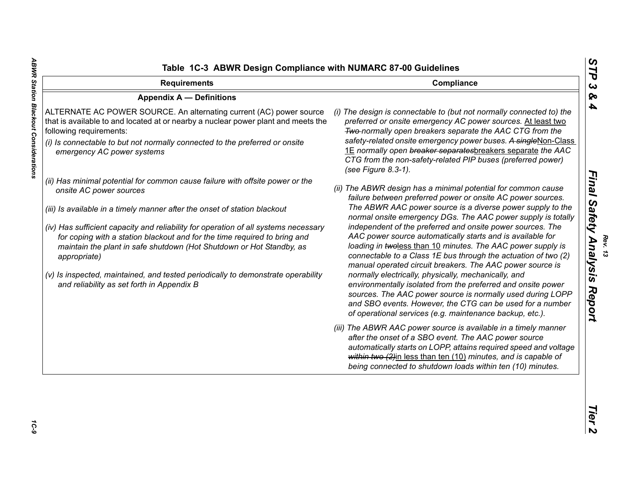| <b>Requirements</b>                                                                                                                                                                                                                                                                                                                                                                                                                                                                                                                                                                 | Compliance                                                                                                                                                                                                                                                                                                                                                                                                                                                                                                                                                                                                                                                                                                                                                                                                                                                                                          |
|-------------------------------------------------------------------------------------------------------------------------------------------------------------------------------------------------------------------------------------------------------------------------------------------------------------------------------------------------------------------------------------------------------------------------------------------------------------------------------------------------------------------------------------------------------------------------------------|-----------------------------------------------------------------------------------------------------------------------------------------------------------------------------------------------------------------------------------------------------------------------------------------------------------------------------------------------------------------------------------------------------------------------------------------------------------------------------------------------------------------------------------------------------------------------------------------------------------------------------------------------------------------------------------------------------------------------------------------------------------------------------------------------------------------------------------------------------------------------------------------------------|
| <b>Appendix A - Definitions</b>                                                                                                                                                                                                                                                                                                                                                                                                                                                                                                                                                     |                                                                                                                                                                                                                                                                                                                                                                                                                                                                                                                                                                                                                                                                                                                                                                                                                                                                                                     |
| ALTERNATE AC POWER SOURCE. An alternating current (AC) power source<br>that is available to and located at or nearby a nuclear power plant and meets the<br>following requirements:<br>(i) Is connectable to but not normally connected to the preferred or onsite<br>emergency AC power systems                                                                                                                                                                                                                                                                                    | (i) The design is connectable to (but not normally connected to) the<br>preferred or onsite emergency AC power sources. At least two<br>Two-normally open breakers separate the AAC CTG from the<br>safety-related onsite emergency power buses. A singleNon-Class<br>1E normally open breaker separatesbreakers separate the AAC<br>CTG from the non-safety-related PIP buses (preferred power)<br>(see Figure 8.3-1).                                                                                                                                                                                                                                                                                                                                                                                                                                                                             |
| (ii) Has minimal potential for common cause failure with offsite power or the<br>onsite AC power sources<br>(iii) Is available in a timely manner after the onset of station blackout<br>(iv) Has sufficient capacity and reliability for operation of all systems necessary<br>for coping with a station blackout and for the time required to bring and<br>maintain the plant in safe shutdown (Hot Shutdown or Hot Standby, as<br>appropriate)<br>(v) Is inspected, maintained, and tested periodically to demonstrate operability<br>and reliability as set forth in Appendix B | (ii) The ABWR design has a minimal potential for common cause<br>failure between preferred power or onsite AC power sources.<br>The ABWR AAC power source is a diverse power supply to the<br>normal onsite emergency DGs. The AAC power supply is totally<br>independent of the preferred and onsite power sources. The<br>AAC power source automatically starts and is available for<br>loading in twoless than 10 minutes. The AAC power supply is<br>connectable to a Class 1E bus through the actuation of two (2)<br>manual operated circuit breakers. The AAC power source is<br>normally electrically, physically, mechanically, and<br>environmentally isolated from the preferred and onsite power<br>sources. The AAC power source is normally used during LOPP<br>and SBO events. However, the CTG can be used for a number<br>of operational services (e.g. maintenance backup, etc.). |
|                                                                                                                                                                                                                                                                                                                                                                                                                                                                                                                                                                                     | (iii) The ABWR AAC power source is available in a timely manner<br>after the onset of a SBO event. The AAC power source<br>automatically starts on LOPP, attains required speed and voltage<br>within two (2)in less than ten (10) minutes, and is capable of<br>being connected to shutdown loads within ten (10) minutes.                                                                                                                                                                                                                                                                                                                                                                                                                                                                                                                                                                         |